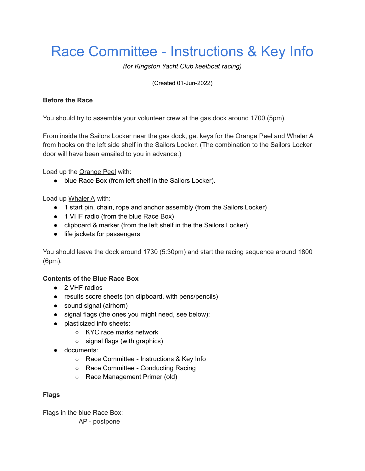# Race Committee - Instructions & Key Info

*(for Kingston Yacht Club keelboat racing)*

(Created 01-Jun-2022)

## **Before the Race**

You should try to assemble your volunteer crew at the gas dock around 1700 (5pm).

From inside the Sailors Locker near the gas dock, get keys for the Orange Peel and Whaler A from hooks on the left side shelf in the Sailors Locker. (The combination to the Sailors Locker door will have been emailed to you in advance.)

Load up the Orange Peel with:

● blue Race Box (from left shelf in the Sailors Locker).

Load up Whaler A with:

- 1 start pin, chain, rope and anchor assembly (from the Sailors Locker)
- 1 VHF radio (from the blue Race Box)
- clipboard & marker (from the left shelf in the the Sailors Locker)
- life jackets for passengers

You should leave the dock around 1730 (5:30pm) and start the racing sequence around 1800 (6pm).

## **Contents of the Blue Race Box**

- 2 VHF radios
- results score sheets (on clipboard, with pens/pencils)
- sound signal (airhorn)
- signal flags (the ones you might need, see below):
- plasticized info sheets:
	- KYC race marks network
	- signal flags (with graphics)
- documents:
	- Race Committee Instructions & Key Info
	- Race Committee Conducting Racing
	- Race Management Primer (old)

### **Flags**

Flags in the blue Race Box: AP - postpone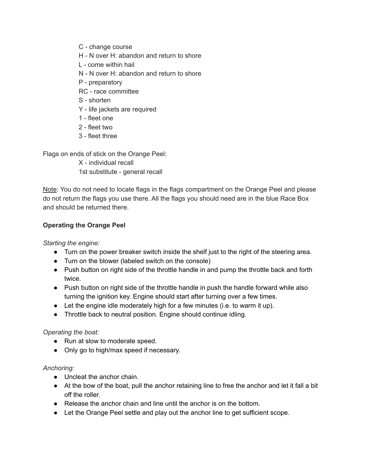- C change course
- H N over H: abandon and return to shore
- L come within hail
- N N over H: abandon and return to shore
- P preparatory
- RC race committee
- S shorten
- Y life jackets are required
- 1 fleet one
- 2 fleet two
- 3 fleet three

Flags on ends of stick on the Orange Peel:

X - individual recall 1st substitute - general recall

Note: You do not need to locate flags in the flags compartment on the Orange Peel and please do not return the flags you use there. All the flags you should need are in the blue Race Box and should be returned there.

### **Operating the Orange Peel**

*Starting the engine:*

- Turn on the power breaker switch inside the shelf just to the right of the steering area.
- Turn on the blower (labeled switch on the console)
- Push button on right side of the throttle handle in and pump the throttle back and forth twice.
- Push button on right side of the throttle handle in push the handle forward while also turning the ignition key. Engine should start after turning over a few times.
- Let the engine idle moderately high for a few minutes (i.e. to warm it up).
- Throttle back to neutral position. Engine should continue idling.

#### *Operating the boat:*

- Run at slow to moderate speed.
- Only go to high/max speed if necessary.

#### *Anchoring:*

- Uncleat the anchor chain.
- At the bow of the boat, pull the anchor retaining line to free the anchor and let it fall a bit off the roller.
- $\bullet$  Release the anchor chain and line until the anchor is on the bottom.
- Let the Orange Peel settle and play out the anchor line to get sufficient scope.